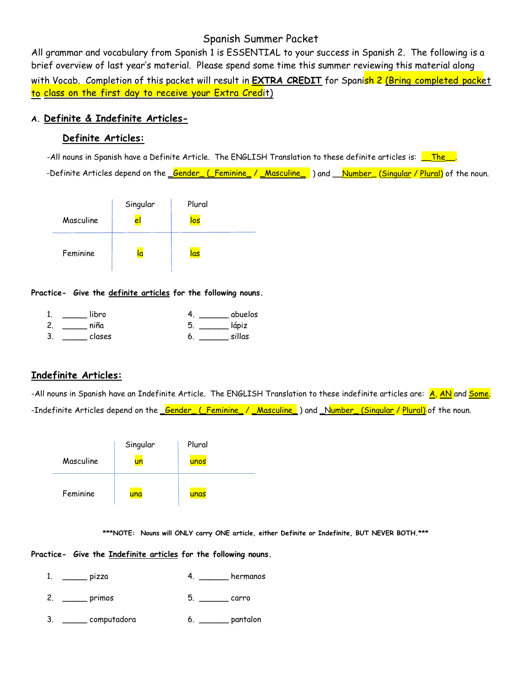# Spanish Summer Packet

 All grammar and vocabulary from Spanish 1 is ESSENTIAL to your success in Spanish 2. The following is a brief overview of last year's material. Please spend some time this summer reviewing this material along

 with Vocab. Completion of this packet will result in **EXTRA CREDIT** for Spanish 2 (Bring completed packet  to class on the first day to receive your Extra Credit)

## **A. Definite & Indefinite Articles-**

## **Definite Articles:**

-All nouns in Spanish have a Definite Article. The ENGLISH Translation to these definite articles is: <u>\_\_The\_\_</u>.

-Definite Articles depend on the \_<mark>Gender\_ (\_Feminine\_ / \_Masculine\_</mark> ) and \_\_<u>Number\_ (Singular / Plural)</u> of the noun.

|           | Singular | Plural |
|-----------|----------|--------|
| Masculine | el       | los    |
| Feminine  | la       | las    |

**Practice- Give the definite articles for the following nouns.**

| 1.           | libro  | abuelos     |
|--------------|--------|-------------|
| $\mathbf{2}$ | niña   | lápiz<br>b  |
| J.           | clases | sillas<br>о |

## **Indefinite Articles:**

-All nouns in Spanish have an Indefinite Article. The ENGLISH Translation to these indefinite articles are: <mark>A, AN</mark> and <mark>Some.</mark> -Indefinite Articles depend on the \_<mark>Gender\_ (\_Feminine\_ / \_Masculine\_</mark> ) and \_N<mark>umber\_ (Singular / Plural)</mark> of the noun.

|           | Singular | Plural |
|-----------|----------|--------|
| Masculine | un       | unos   |
| Feminine  | una      | unas   |

**\*\*\*NOTE: Nouns will ONLY carry ONE article, either Definite or Indefinite, BUT NEVER BOTH.\*\*\***

### **Practice- Give the Indefinite articles for the following nouns.**

- 1. \_\_\_\_\_\_ pizza 1. \_\_\_\_\_\_ 4. \_\_\_\_\_\_\_ hermanos
- 2. \_\_\_\_\_\_ primos 5. \_\_\_\_\_\_ carro
- 3. \_\_\_\_\_ computadora 6. \_\_\_\_\_\_ pantalon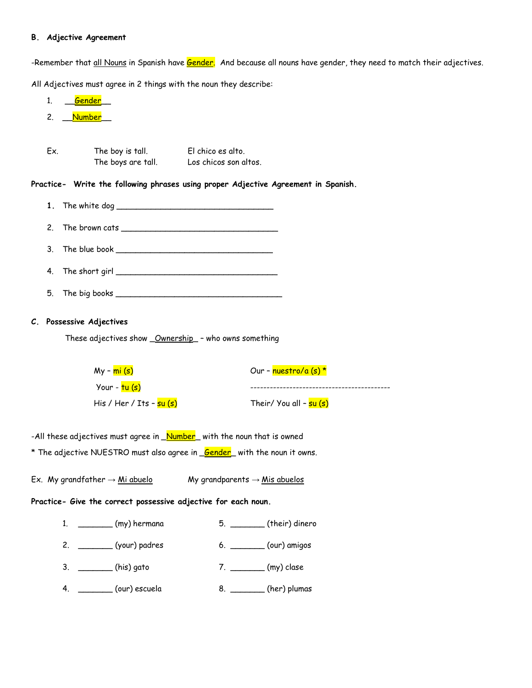### **B. Adjective Agreement**

-Remember that <u>all Nouns</u> in Spanish have <mark>Gender.</mark> And because all nouns have gender, they need to match their adjectives.

All Adjectives must agree in 2 things with the noun they describe:

| 1.           | <u>Gender</u>                                                                 |                                                                                    |
|--------------|-------------------------------------------------------------------------------|------------------------------------------------------------------------------------|
| 2.           | _ <mark>Number</mark> __                                                      |                                                                                    |
|              |                                                                               |                                                                                    |
| Ex.          | The boy is tall.                                                              | El chico es alto.                                                                  |
|              | The boys are tall. Los chicos son altos.                                      |                                                                                    |
|              |                                                                               | Practice- Write the following phrases using proper Adjective Agreement in Spanish. |
| $1_{\ldots}$ |                                                                               |                                                                                    |
| 2.           |                                                                               |                                                                                    |
| 3.           |                                                                               |                                                                                    |
| 4.           |                                                                               |                                                                                    |
| 5.           |                                                                               |                                                                                    |
|              | C. Possessive Adjectives                                                      |                                                                                    |
|              | These adjectives show _Ownership_ - who owns something                        |                                                                                    |
|              |                                                                               |                                                                                    |
|              | $My - mi(s)$                                                                  | Our – nuestro/a (s) *                                                              |
|              | Your - <mark>tu (s)</mark>                                                    |                                                                                    |
|              | His / Her / Its - su (s)                                                      | Their/ You all - su (s)                                                            |
|              | -All these adjectives must agree in <b>Number</b> with the noun that is owned |                                                                                    |
|              |                                                                               | * The adjective NUESTRO must also agree in <u>Gender</u> with the noun it owns.    |
|              |                                                                               |                                                                                    |
|              | Ex. My grandfather $\rightarrow$ Mi abuelo                                    | My grandparents $\rightarrow$ <u>Mis abuelos</u>                                   |
|              | Practice- Give the correct possessive adjective for each noun.                |                                                                                    |
|              | $1.$ ___________ (my) hermana                                                 |                                                                                    |
|              | 2. _________ (your) padres                                                    | 6. __________ (our) amigos                                                         |
|              | 3. ________(his) gato                                                         | 7. ________ (my) clase                                                             |
|              | $4.$ $\qquad \qquad$ (our) escuela                                            | 8. _________ (her) plumas                                                          |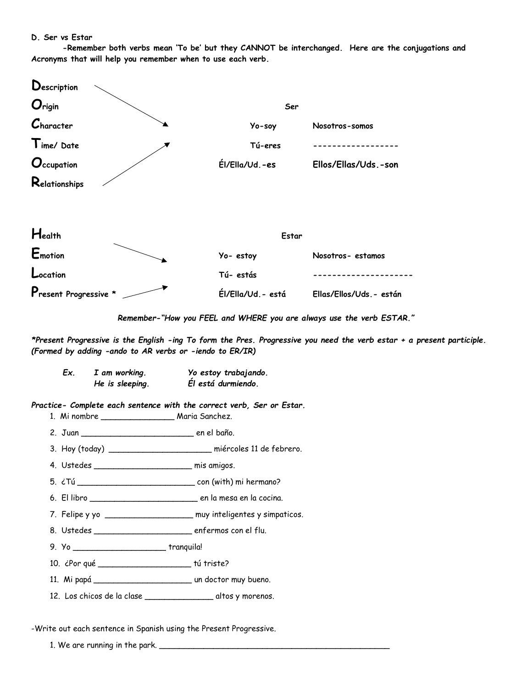#### D. Ser vs Estar

-Remember both verbs mean 'To be' but they CANNOT be interchanged. Here are the conjugations and Acronyms that will help you remember when to use each verb.

| Description            |                    |                          |
|------------------------|--------------------|--------------------------|
| Origin                 | Ser                |                          |
| C <sub>h</sub> aracter | Yo-soy             | Nosotros-somos           |
| Time/Date              | Tú-eres            |                          |
| Occupation             | Él/Ella/Ud.-es     | Ellos/Ellas/Uds.-son     |
| Relationships          |                    |                          |
| Health                 | Estar              |                          |
| Emotion                | Yo-estoy           | Nosotros-estamos         |
| Location               | Tú-estás           |                          |
| Present Progressive *  | Él/Ella/Ud. - está | Ellas/Ellos/Uds. - están |

Remember-"How you FEEL and WHERE you are always use the verb ESTAR."

\*Present Progressive is the English -ing To form the Pres. Progressive you need the verb estar + a present participle. (Formed by adding -ando to AR verbs or -iendo to ER/IR)

I am working.<br>
We estoy trabajando.<br>
Le in cleaning the filestá duranisme. Ex. He is sleeping. Él está durmiendo.

Practice- Complete each sentence with the correct verb, Ser or Estar.

- 1. Mi nombre \_\_\_\_\_\_\_\_\_\_\_\_\_\_\_\_\_\_\_\_\_\_\_\_\_\_ Maria Sanchez.
- 

3. Hoy (today) \_\_\_\_\_\_\_\_\_\_\_\_\_\_\_\_\_\_\_\_\_\_\_\_ miércoles 11 de febrero.

- 4. Ustedes mis amigos.
- 
- 
- 7. Felipe y yo \_\_\_\_\_\_\_\_\_\_\_\_\_\_\_\_\_\_\_\_\_\_ muy inteligentes y simpaticos.
- 
- 9. Yo \_\_\_\_\_\_\_\_\_\_\_\_\_\_\_\_\_\_\_\_\_\_\_\_\_\_\_\_\_\_\_\_\_tranquila!
- 10. ¿Por qué \_\_\_\_\_\_\_\_\_\_\_\_\_\_\_\_\_\_\_\_\_\_\_\_\_\_\_\_\_\_\_\_ tú triste?
- 
- 12. Los chicos de la clase \_\_\_\_\_\_\_\_\_\_\_\_\_\_\_\_\_\_\_\_\_\_\_\_ altos y morenos.

-Write out each sentence in Spanish using the Present Progressive.

1. We are running in the park.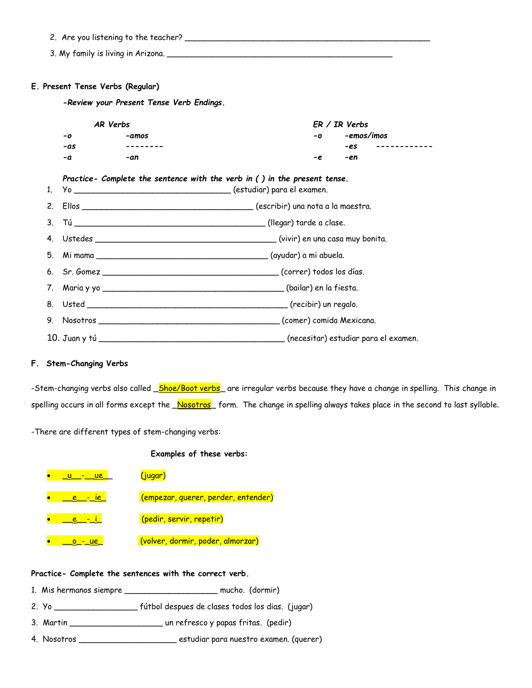- 2. Are you listening to the teacher? \_\_\_\_\_\_\_\_\_\_\_\_\_\_\_\_\_\_\_\_\_\_\_\_\_\_\_\_\_\_\_\_\_\_\_\_\_\_\_\_\_\_\_\_\_\_\_\_\_\_
- 3. My family is living in Arizona. \_\_\_\_\_\_\_\_\_\_\_\_\_\_\_\_\_\_\_\_\_\_\_\_\_\_\_\_\_\_\_\_\_\_\_\_\_\_\_\_\_\_\_\_\_\_

#### **E. Present Tense Verbs (Regular)**

*-Review your Present Tense Verb Endings.*

| AR Verbs |       | $ER / IR$ Verbs |                     |  |  |
|----------|-------|-----------------|---------------------|--|--|
| -0       | -amos | $-0$            | -emos/imos          |  |  |
| -as      |       |                 | -es<br>------------ |  |  |
| -a       | -an   | -e              | -en                 |  |  |

### *Practice- Complete the sentence with the verb in ( ) in the present tense.*

### **F. Stem-Changing Verbs**

-Stem-changing verbs also called \_Shoe/Boot verbs\_ are irregular verbs because they have a change in spelling. This change in spelling occurs in all forms except the Nosotros form. The change in spelling always takes place in the second to last syllable.

-There are different types of stem-changing verbs:

**Examples of these verbs:**

| <u>ue</u> | (jugar)                             |
|-----------|-------------------------------------|
|           | (empezar, querer, perder, entender) |
|           | (pedir, servir, repetir)            |
|           | (volver, dormir, poder, almorzar)   |

#### **Practice- Complete the sentences with the correct verb.**

- 1. Mis hermanos siempre \_\_\_\_\_\_\_\_\_\_\_\_\_\_\_\_\_\_\_ mucho. (dormir)
- 2. Yo \_\_\_\_\_\_\_\_\_\_\_\_\_\_\_\_\_ fútbol despues de clases todos los dias. (jugar)
- 3. Martin \_\_\_\_\_\_\_\_\_\_\_\_\_\_\_\_\_\_\_ un refresco y papas fritas. (pedir)
- 4. Nosotros \_\_\_\_\_\_\_\_\_\_\_\_\_\_\_\_\_\_\_\_ estudiar para nuestro examen. (querer)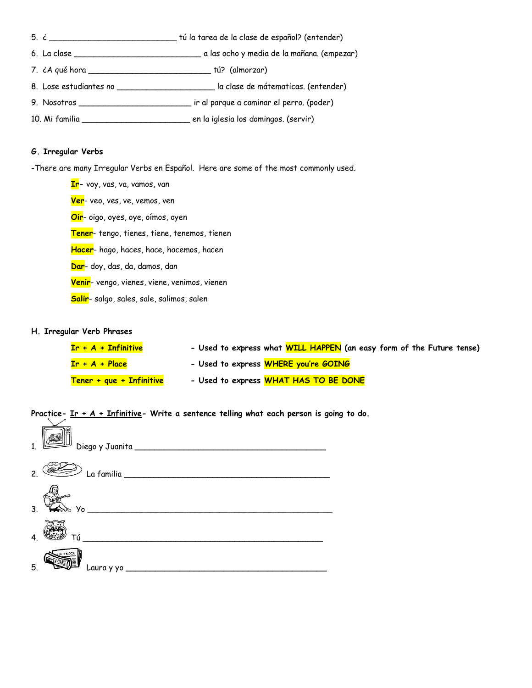- 5. ¿ \_\_\_\_\_\_\_\_\_\_\_\_\_\_\_\_\_\_\_\_\_\_\_\_\_\_ tú la tarea de la clase de español? (entender)
- 6. La clase \_\_\_\_\_\_\_\_\_\_\_\_\_\_\_\_\_\_\_\_\_\_\_\_\_\_ a las ocho y media de la mañana. (empezar)
- 7. ¿A qué hora \_\_\_\_\_\_\_\_\_\_\_\_\_\_\_\_\_\_\_\_\_\_\_\_\_ tú? (almorzar)
- 8. Lose estudiantes no \_\_\_\_\_\_\_\_\_\_\_\_\_\_\_\_\_\_\_\_ la clase de mátematicas. (entender)
- 9. Nosotros \_\_\_\_\_\_\_\_\_\_\_\_\_\_\_\_\_\_\_\_\_\_\_ ir al parque a caminar el perro. (poder)
- 10. Mi familia \_\_\_\_\_\_\_\_\_\_\_\_\_\_\_\_\_\_\_\_\_\_ en la iglesia los domingos. (servir)

#### **G. Irregular Verbs**

-There are many Irregular Verbs en Español. Here are some of the most commonly used.

**Ir-** voy, vas, va, vamos, van **Ver**- veo, ves, ve, vemos, ven **Oir**- oigo, oyes, oye, oímos, oyen **Tener**- tengo, tienes, tiene, tenemos, tienen **Hacer**- hago, haces, hace, hacemos, hacen **Dar**- doy, das, da, damos, dan **Venir**- vengo, vienes, viene, venimos, vienen **Salir**- salgo, sales, sale, salimos, salen

#### **H. Irregular Verb Phrases**

| $Ir + A + Infinitive$    | - Used to express what WILL HAPPEN (an easy form of the Future tense) |
|--------------------------|-----------------------------------------------------------------------|
| $Ir + A + Place$         | - Used to express WHERE you're GOING                                  |
| Tener + que + Infinitive | - Used to express WHAT HAS TO BE DONE                                 |

**Practice- Ir + A + Infinitive- Write a sentence telling what each person is going to do.** 

| $\mathcal{P}$ |    |
|---------------|----|
| 3.            |    |
|               | Тú |
| 5.            |    |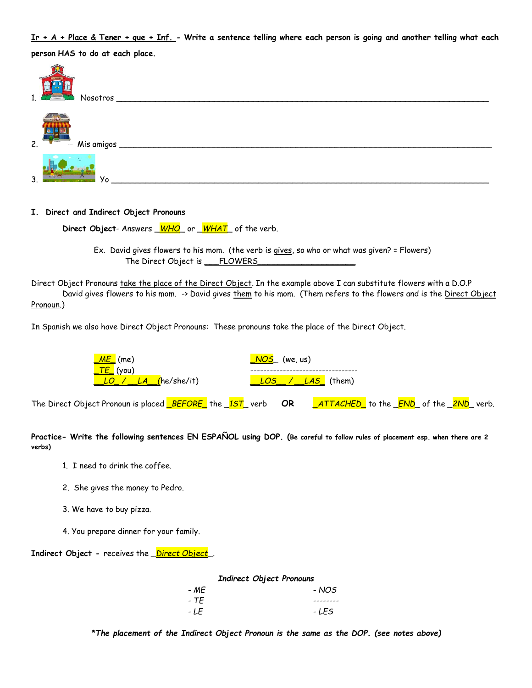Ir + A + Place & Tener + que + Inf. - Write a sentence telling where each person is going and another telling what each person HAS to do at each place.

| 1.1 | ESC 10007.<br><b>The Contract</b><br>Nosotros                        |
|-----|----------------------------------------------------------------------|
| 2.  | <b>Cafe</b><br><b>The Processing</b><br>Mis amigos<br><b>Survivo</b> |
| 3.  | Y <sub>o</sub>                                                       |

I. Direct and Indirect Object Pronouns

Direct Object-Answers <u>WHO</u> or WHAT of the verb.

Ex. David gives flowers to his mom. (the verb is gives, so who or what was given? = Flowers) The Direct Object is \_\_FLOWERS\_

Direct Object Pronouns take the place of the Direct Object. In the example above I can substitute flowers with a D.O.P David gives flowers to his mom. -> David gives them to his mom. (Them refers to the flowers and is the Direct Object Pronoun.)

In Spanish we also have Direct Object Pronouns: These pronouns take the place of the Direct Object.

| <u>_ME_</u> (me)                                                                                                               |  | <mark>_NOS</mark> _ (we, us) |                                                                                        |  |  |  |  |  |
|--------------------------------------------------------------------------------------------------------------------------------|--|------------------------------|----------------------------------------------------------------------------------------|--|--|--|--|--|
| <mark>_ТЕ_</mark> (уои)<br>LO / LA (he/she/it)                                                                                 |  | LOS / LAS (them)             |                                                                                        |  |  |  |  |  |
| The Direct Object Pronoun is placed $\sqrt{\frac{\text{BEFORE}}{\text{E}}}\$ the $\sqrt{\frac{1ST}{\text{E}}}\$ verb <b>OR</b> |  |                              | _ <mark>ATTACHED_</mark> to the _ <mark>END</mark> _ of the _ <mark>2ND</mark> _ verb. |  |  |  |  |  |

Practice- Write the following sentences EN ESPAÑOL using DOP. (Be careful to follow rules of placement esp. when there are 2 verbs)

- 1. I need to drink the coffee.
- 2. She gives the money to Pedro.
- 3. We have to buy pizza.
- 4. You prepare dinner for your family.

**Indirect Object - receives the** *Direct Object*.

| <b>Indirect Object Pronouns</b> |       |  |  |  |
|---------------------------------|-------|--|--|--|
| - ME                            | - NOS |  |  |  |
| - TF                            |       |  |  |  |
| - LE                            | - LES |  |  |  |

\*The placement of the Indirect Object Pronoun is the same as the DOP. (see notes above)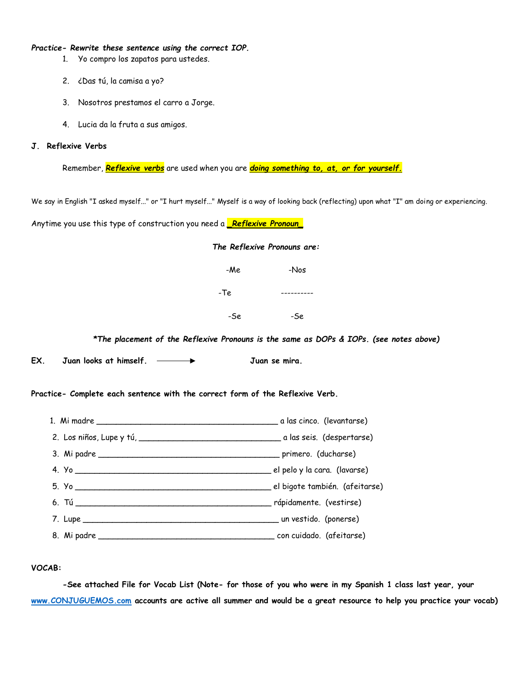#### *Practice- Rewrite these sentence using the correct IOP.*

- 1. Yo compro los zapatos para ustedes.
- 2. ¿Das tú, la camisa a yo?
- 3. Nosotros prestamos el carro a Jorge.
- 4. Lucia da la fruta a sus amigos.

#### **J. Reflexive Verbs**

Remember, *Reflexive verbs* are used when you are *doing something to, at, or for yourself.*

We say in English "I asked myself..." or "I hurt myself..." Myself is a way of looking back (reflecting) upon what "I" am doing or experiencing.

Anytime you use this type of construction you need a *\_Reflexive Pronoun\_*

| The Reflexive Pronouns are: |      |  |  |  |
|-----------------------------|------|--|--|--|
| -Me                         | -Nos |  |  |  |
| -Te                         |      |  |  |  |
| -Se                         | -Se  |  |  |  |
|                             |      |  |  |  |

*\*The placement of the Reflexive Pronouns is the same as DOPs & IOPs. (see notes above)*

**EX. Juan looks at himself. Juan se mira.**

#### **Practice- Complete each sentence with the correct form of the Reflexive Verb.**

### **VOCAB:**

**-See attached File for Vocab List (Note- for those of you who were in my Spanish 1 class last year, your [www.CONJUGUEMOS.com](http://www.conjuguemos.com/) accounts are active all summer and would be a great resource to help you practice your vocab)**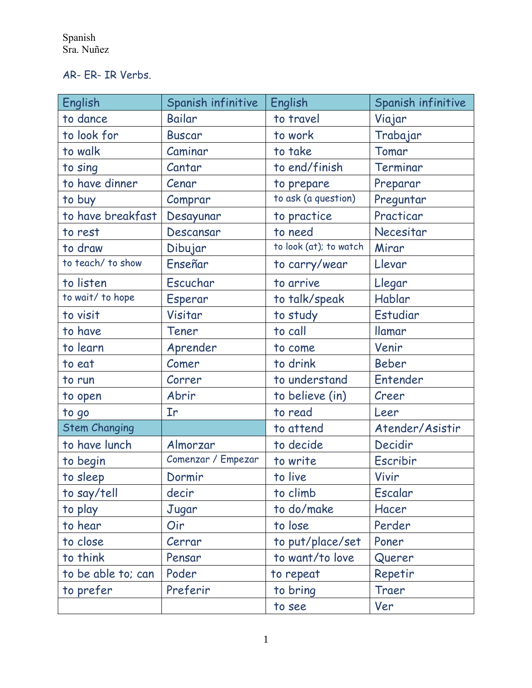AR- ER- IR Verbs.

| English              | Spanish infinitive         | English                | Spanish infinitive |
|----------------------|----------------------------|------------------------|--------------------|
| to dance             | Bailar                     | to travel              | Viajar             |
| to look for          | <b>Buscar</b>              | to work                | Trabajar           |
| to walk              | Caminar                    | to take                | Tomar              |
| to sing              | Cantar                     | to end/finish          | Terminar           |
| to have dinner       | Cenar                      | to prepare             | Preparar           |
| to buy               | Comprar                    | to ask (a question)    | Preguntar          |
| to have breakfast    | Desayunar                  | to practice            | Practicar          |
| to rest              | Descansar                  | to need                | Necesitar          |
| to draw              | Dibujar                    | to look (at); to watch | Mirar              |
| to teach/ to show    | Enseñar                    | to carry/wear          | Llevar             |
| to listen            | Escuchar                   | to arrive              | Llegar             |
| to wait/ to hope     | Esperar                    | to talk/speak          | Hablar             |
| to visit             | Visitar                    | to study               | Estudiar           |
| to have              | Tener                      | to call                | <b>Ilamar</b>      |
| to learn             | Aprender                   | to come                | Venir              |
| to eat               | Comer                      | to drink               | <b>Beber</b>       |
| to run               | Correr                     | to understand          | Entender           |
| to open              | Abrir                      | to believe (in)        | Creer              |
| to go                | $\mathop{\rm Tr}\nolimits$ | to read                | Leer               |
| <b>Stem Changing</b> |                            | to attend              | Atender/Asistir    |
| to have lunch        | Almorzar                   | to decide              | Decidir            |
| to begin             | Comenzar / Empezar         | to write               | Escribir           |
| to sleep             | Dormir                     | to live                | Vivir              |
| to say/tell          | decir                      | to climb               | Escalar            |
| to play              | Jugar                      | to do/make             | Hacer              |
| to hear              | Oir                        | to lose                | Perder             |
| to close             | Cerrar                     | to put/place/set       | Poner              |
| to think             | Pensar                     | to want/to love        | Querer             |
| to be able to; can   | Poder                      | to repeat              | Repetir            |
| to prefer            | Preferir                   | to bring               | Traer              |
|                      |                            | to see                 | Ver                |